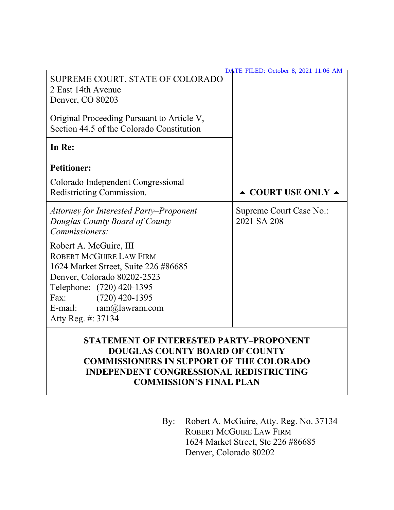|                                                                                                                                                                                                                                         | <b>DATE FILED: October 8, 2021 11:06 AM</b> |
|-----------------------------------------------------------------------------------------------------------------------------------------------------------------------------------------------------------------------------------------|---------------------------------------------|
| SUPREME COURT, STATE OF COLORADO<br>2 East 14th Avenue<br>Denver, CO 80203                                                                                                                                                              |                                             |
| Original Proceeding Pursuant to Article V,<br>Section 44.5 of the Colorado Constitution                                                                                                                                                 |                                             |
| In Re:                                                                                                                                                                                                                                  |                                             |
| <b>Petitioner:</b>                                                                                                                                                                                                                      |                                             |
| Colorado Independent Congressional<br>Redistricting Commission.                                                                                                                                                                         | $\triangle$ COURT USE ONLY $\triangle$      |
| Attorney for Interested Party–Proponent<br>Douglas County Board of County<br>Commissioners:                                                                                                                                             | Supreme Court Case No.:<br>2021 SA 208      |
| Robert A. McGuire, III<br>ROBERT MCGUIRE LAW FIRM<br>1624 Market Street, Suite 226 #86685<br>Denver, Colorado 80202-2523<br>Telephone: (720) 420-1395<br>Fax:<br>$(720)$ 420-1395<br>$ram@$ lawram.com<br>E-mail:<br>Atty Reg. #: 37134 |                                             |
| STATEMENT OF INTERESTED PARTY–PROPONENT                                                                                                                                                                                                 |                                             |

# **STATEMENT OF INTERESTED PARTY–PROPONENT DOUGLAS COUNTY BOARD OF COUNTY COMMISSIONERS IN SUPPORT OF THE COLORADO INDEPENDENT CONGRESSIONAL REDISTRICTING COMMISSION'S FINAL PLAN**

By: Robert A. McGuire, Atty. Reg. No. 37134 ROBERT MCGUIRE LAW FIRM 1624 Market Street, Ste 226 #86685 Denver, Colorado 80202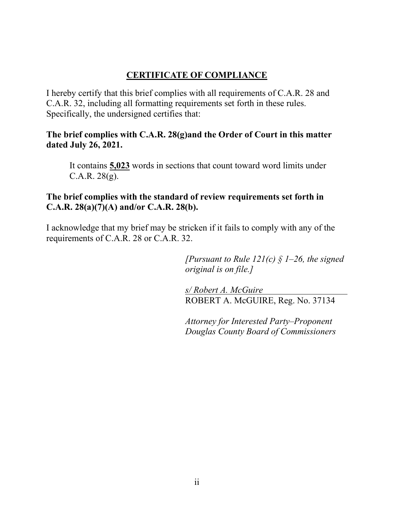# **CERTIFICATE OF COMPLIANCE**

I hereby certify that this brief complies with all requirements of C.A.R. 28 and C.A.R. 32, including all formatting requirements set forth in these rules. Specifically, the undersigned certifies that:

# **The brief complies with C.A.R. 28(g)and the Order of Court in this matter dated July 26, 2021.**

It contains **5,023** words in sections that count toward word limits under C.A.R. 28(g).

# **The brief complies with the standard of review requirements set forth in C.A.R. 28(a)(7)(A) and/or C.A.R. 28(b).**

I acknowledge that my brief may be stricken if it fails to comply with any of the requirements of C.A.R. 28 or C.A.R. 32.

> *[Pursuant to Rule 121(c) § 1–26, the signed original is on file.]*

*s/ Robert A. McGuire* ROBERT A. McGUIRE, Reg. No. 37134

*Attorney for Interested Party–Proponent Douglas County Board of Commissioners*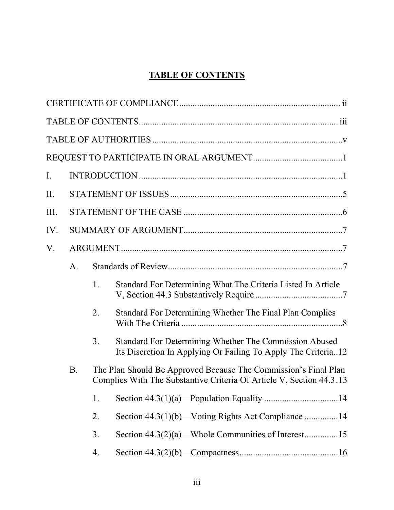# **TABLE OF CONTENTS**

| $I_{\cdot}$ |                                                                                                                                                       |    |                                                                                                                         |  |
|-------------|-------------------------------------------------------------------------------------------------------------------------------------------------------|----|-------------------------------------------------------------------------------------------------------------------------|--|
| II.         |                                                                                                                                                       |    |                                                                                                                         |  |
| III.        |                                                                                                                                                       |    |                                                                                                                         |  |
| IV.         |                                                                                                                                                       |    |                                                                                                                         |  |
| V.          |                                                                                                                                                       |    |                                                                                                                         |  |
|             | A.                                                                                                                                                    |    |                                                                                                                         |  |
|             |                                                                                                                                                       | 1. | Standard For Determining What The Criteria Listed In Article                                                            |  |
|             |                                                                                                                                                       | 2. | Standard For Determining Whether The Final Plan Complies                                                                |  |
|             |                                                                                                                                                       | 3. | Standard For Determining Whether The Commission Abused<br>Its Discretion In Applying Or Failing To Apply The Criteria12 |  |
|             | The Plan Should Be Approved Because The Commission's Final Plan<br><b>B</b> .<br>Complies With The Substantive Criteria Of Article V, Section 44.3.13 |    |                                                                                                                         |  |
|             |                                                                                                                                                       | 1. |                                                                                                                         |  |
|             |                                                                                                                                                       | 2. |                                                                                                                         |  |
|             |                                                                                                                                                       | 3. |                                                                                                                         |  |
|             |                                                                                                                                                       | 4. |                                                                                                                         |  |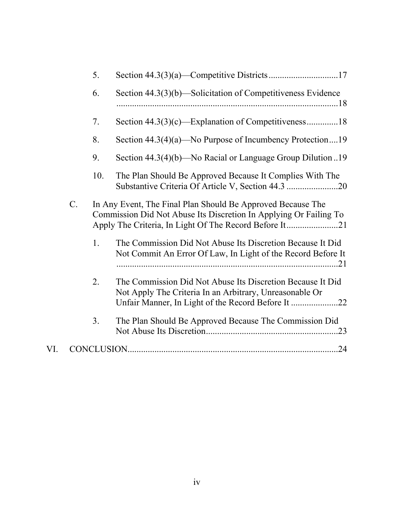|     |                 | 5.         |                                                                                                                                  |     |
|-----|-----------------|------------|----------------------------------------------------------------------------------------------------------------------------------|-----|
|     |                 | 6.         | Section 44.3(3)(b)—Solicitation of Competitiveness Evidence                                                                      |     |
|     |                 | 7.         |                                                                                                                                  |     |
|     |                 | 8.         | Section $44.3(4)(a)$ —No Purpose of Incumbency Protection19                                                                      |     |
|     |                 | 9.         | Section $44.3(4)(b)$ —No Racial or Language Group Dilution 19                                                                    |     |
|     |                 | 10.        | The Plan Should Be Approved Because It Complies With The                                                                         |     |
|     | $\mathcal{C}$ . |            | In Any Event, The Final Plan Should Be Approved Because The<br>Commission Did Not Abuse Its Discretion In Applying Or Failing To |     |
|     |                 | 1.         | The Commission Did Not Abuse Its Discretion Because It Did<br>Not Commit An Error Of Law, In Light of the Record Before It       |     |
|     |                 | 2.         | The Commission Did Not Abuse Its Discretion Because It Did<br>Not Apply The Criteria In an Arbitrary, Unreasonable Or            |     |
|     |                 | 3.         | The Plan Should Be Approved Because The Commission Did                                                                           |     |
| VI. |                 | CONCLUSION |                                                                                                                                  | .24 |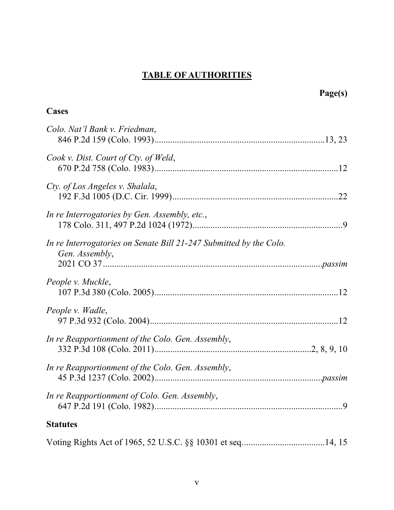# **TABLE OF AUTHORITIES**

|                                                                                      | Page(s) |
|--------------------------------------------------------------------------------------|---------|
| Cases                                                                                |         |
| Colo. Nat'l Bank v. Friedman,                                                        |         |
| Cook v. Dist. Court of Cty. of Weld,                                                 |         |
| Cty. of Los Angeles v. Shalala,                                                      |         |
| In re Interrogatories by Gen. Assembly, etc.,                                        |         |
| In re Interrogatories on Senate Bill 21-247 Submitted by the Colo.<br>Gen. Assembly, |         |
| People v. Muckle,                                                                    |         |
| People v. Wadle,                                                                     |         |
| In re Reapportionment of the Colo. Gen. Assembly,                                    |         |
| In re Reapportionment of the Colo. Gen. Assembly,                                    |         |
| In re Reapportionment of Colo. Gen. Assembly,                                        |         |
| <b>Statutes</b>                                                                      |         |
|                                                                                      |         |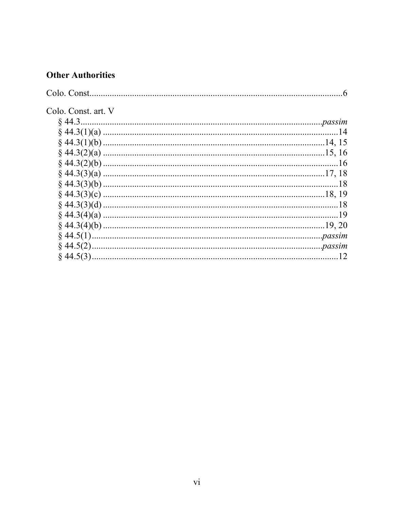# **Other Authorities**

| Colo. Const. art. V |     |
|---------------------|-----|
|                     |     |
|                     |     |
|                     |     |
|                     |     |
|                     |     |
|                     |     |
|                     |     |
|                     |     |
|                     | .18 |
|                     |     |
|                     |     |
|                     |     |
|                     |     |
|                     |     |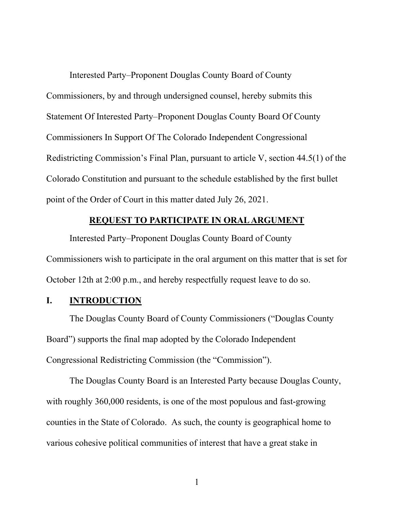Interested Party–Proponent Douglas County Board of County Commissioners, by and through undersigned counsel, hereby submits this Statement Of Interested Party–Proponent Douglas County Board Of County Commissioners In Support Of The Colorado Independent Congressional Redistricting Commission's Final Plan, pursuant to article V, section 44.5(1) of the Colorado Constitution and pursuant to the schedule established by the first bullet point of the Order of Court in this matter dated July 26, 2021.

### **REQUEST TO PARTICIPATE IN ORAL ARGUMENT**

Interested Party–Proponent Douglas County Board of County Commissioners wish to participate in the oral argument on this matter that is set for October 12th at 2:00 p.m., and hereby respectfully request leave to do so.

# **I. INTRODUCTION**

The Douglas County Board of County Commissioners ("Douglas County Board") supports the final map adopted by the Colorado Independent Congressional Redistricting Commission (the "Commission").

The Douglas County Board is an Interested Party because Douglas County, with roughly 360,000 residents, is one of the most populous and fast-growing counties in the State of Colorado. As such, the county is geographical home to various cohesive political communities of interest that have a great stake in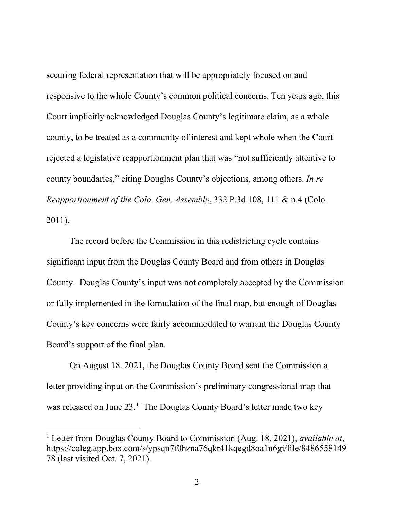securing federal representation that will be appropriately focused on and responsive to the whole County's common political concerns. Ten years ago, this Court implicitly acknowledged Douglas County's legitimate claim, as a whole county, to be treated as a community of interest and kept whole when the Court rejected a legislative reapportionment plan that was "not sufficiently attentive to county boundaries," citing Douglas County's objections, among others. *In re Reapportionment of the Colo. Gen. Assembly*, 332 P.3d 108, 111 & n.4 (Colo. 2011).

The record before the Commission in this redistricting cycle contains significant input from the Douglas County Board and from others in Douglas County. Douglas County's input was not completely accepted by the Commission or fully implemented in the formulation of the final map, but enough of Douglas County's key concerns were fairly accommodated to warrant the Douglas County Board's support of the final plan.

On August 18, 2021, the Douglas County Board sent the Commission a letter providing input on the Commission's preliminary congressional map that was released on June 23.<sup>1</sup> The Douglas County Board's letter made two key

<sup>1</sup> Letter from Douglas County Board to Commission (Aug. 18, 2021), *available at*, https://coleg.app.box.com/s/ypsqn7f0hzna76qkr41kqegd8oa1n6gi/file/8486558149 78 (last visited Oct. 7, 2021).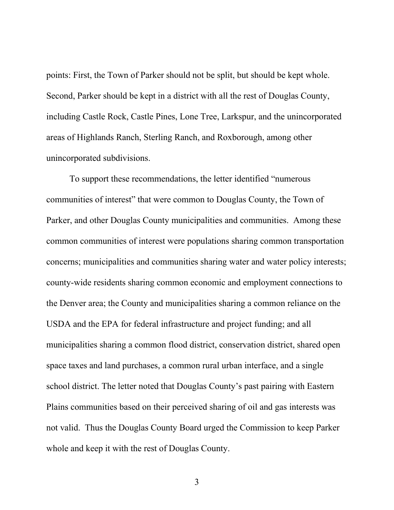points: First, the Town of Parker should not be split, but should be kept whole. Second, Parker should be kept in a district with all the rest of Douglas County, including Castle Rock, Castle Pines, Lone Tree, Larkspur, and the unincorporated areas of Highlands Ranch, Sterling Ranch, and Roxborough, among other unincorporated subdivisions.

To support these recommendations, the letter identified "numerous communities of interest" that were common to Douglas County, the Town of Parker, and other Douglas County municipalities and communities. Among these common communities of interest were populations sharing common transportation concerns; municipalities and communities sharing water and water policy interests; county-wide residents sharing common economic and employment connections to the Denver area; the County and municipalities sharing a common reliance on the USDA and the EPA for federal infrastructure and project funding; and all municipalities sharing a common flood district, conservation district, shared open space taxes and land purchases, a common rural urban interface, and a single school district. The letter noted that Douglas County's past pairing with Eastern Plains communities based on their perceived sharing of oil and gas interests was not valid. Thus the Douglas County Board urged the Commission to keep Parker whole and keep it with the rest of Douglas County.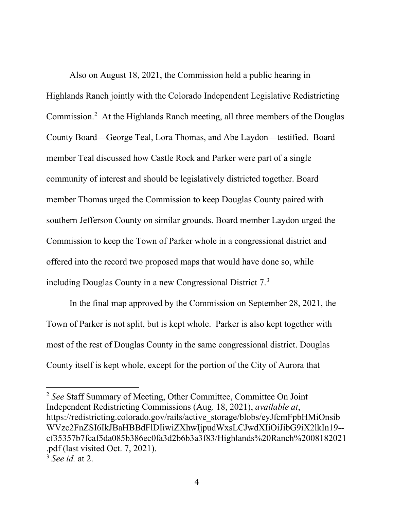Also on August 18, 2021, the Commission held a public hearing in Highlands Ranch jointly with the Colorado Independent Legislative Redistricting Commission.<sup>2</sup> At the Highlands Ranch meeting, all three members of the Douglas County Board—George Teal, Lora Thomas, and Abe Laydon—testified. Board member Teal discussed how Castle Rock and Parker were part of a single community of interest and should be legislatively districted together. Board member Thomas urged the Commission to keep Douglas County paired with southern Jefferson County on similar grounds. Board member Laydon urged the Commission to keep the Town of Parker whole in a congressional district and offered into the record two proposed maps that would have done so, while including Douglas County in a new Congressional District 7. 3

In the final map approved by the Commission on September 28, 2021, the Town of Parker is not split, but is kept whole. Parker is also kept together with most of the rest of Douglas County in the same congressional district. Douglas County itself is kept whole, except for the portion of the City of Aurora that

<sup>2</sup> *See* Staff Summary of Meeting, Other Committee, Committee On Joint Independent Redistricting Commissions (Aug. 18, 2021), *available at*, https://redistricting.colorado.gov/rails/active\_storage/blobs/eyJfcmFpbHMiOnsib WVzc2FnZSI6IkJBaHBBdFlDIiwiZXhwIjpudWxsLCJwdXIiOiJibG9iX2lkIn19- cf35357b7fcaf5da085b386ec0fa3d2b6b3a3f83/Highlands%20Ranch%2008182021 .pdf (last visited Oct. 7, 2021).

<sup>3</sup> *See id.* at 2.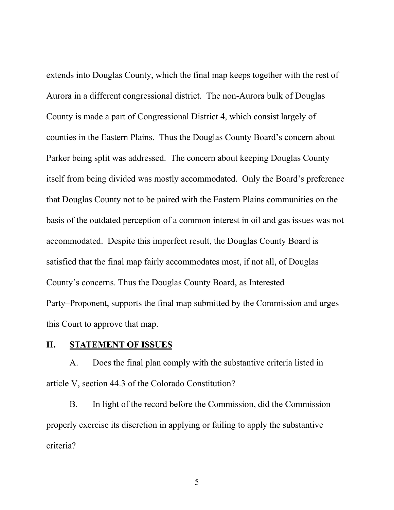extends into Douglas County, which the final map keeps together with the rest of Aurora in a different congressional district. The non-Aurora bulk of Douglas County is made a part of Congressional District 4, which consist largely of counties in the Eastern Plains. Thus the Douglas County Board's concern about Parker being split was addressed. The concern about keeping Douglas County itself from being divided was mostly accommodated. Only the Board's preference that Douglas County not to be paired with the Eastern Plains communities on the basis of the outdated perception of a common interest in oil and gas issues was not accommodated. Despite this imperfect result, the Douglas County Board is satisfied that the final map fairly accommodates most, if not all, of Douglas County's concerns. Thus the Douglas County Board, as Interested Party–Proponent, supports the final map submitted by the Commission and urges this Court to approve that map.

#### **II. STATEMENT OF ISSUES**

A. Does the final plan comply with the substantive criteria listed in article V, section 44.3 of the Colorado Constitution?

B. In light of the record before the Commission, did the Commission properly exercise its discretion in applying or failing to apply the substantive criteria?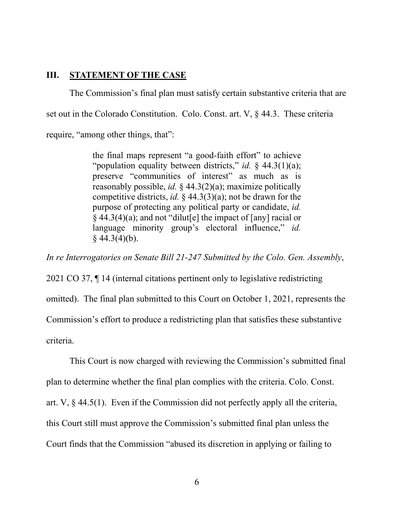#### **III. STATEMENT OF THE CASE**

The Commission's final plan must satisfy certain substantive criteria that are set out in the Colorado Constitution. Colo. Const. art. V, § 44.3. These criteria require, "among other things, that":

> the final maps represent "a good-faith effort" to achieve "population equality between districts," *id.* § 44.3(1)(a); preserve "communities of interest" as much as is reasonably possible, *id.* § 44.3(2)(a); maximize politically competitive districts, *id.* § 44.3(3)(a); not be drawn for the purpose of protecting any political party or candidate, *id.*   $§$  44.3(4)(a); and not "dilut[e] the impact of [any] racial or language minority group's electoral influence," *id.*  $§$  44.3(4)(b).

*In re Interrogatories on Senate Bill 21-247 Submitted by the Colo. Gen. Assembly*,

2021 CO 37, ¶ 14 (internal citations pertinent only to legislative redistricting omitted). The final plan submitted to this Court on October 1, 2021, represents the Commission's effort to produce a redistricting plan that satisfies these substantive criteria.

This Court is now charged with reviewing the Commission's submitted final plan to determine whether the final plan complies with the criteria. Colo. Const. art. V, § 44.5(1). Even if the Commission did not perfectly apply all the criteria, this Court still must approve the Commission's submitted final plan unless the Court finds that the Commission "abused its discretion in applying or failing to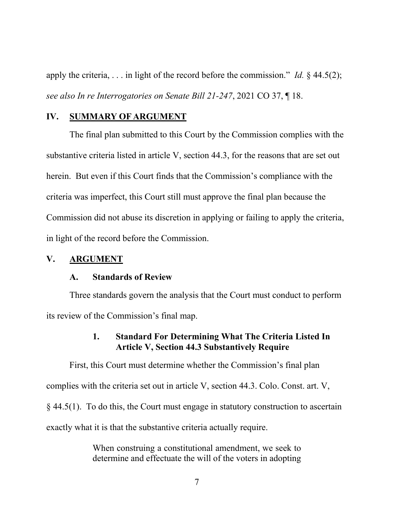apply the criteria, . . . in light of the record before the commission." *Id.* § 44.5(2); *see also In re Interrogatories on Senate Bill 21-247*, 2021 CO 37, ¶ 18.

## **IV. SUMMARY OF ARGUMENT**

The final plan submitted to this Court by the Commission complies with the substantive criteria listed in article V, section 44.3, for the reasons that are set out herein. But even if this Court finds that the Commission's compliance with the criteria was imperfect, this Court still must approve the final plan because the Commission did not abuse its discretion in applying or failing to apply the criteria, in light of the record before the Commission.

### **V. ARGUMENT**

#### **A. Standards of Review**

Three standards govern the analysis that the Court must conduct to perform its review of the Commission's final map.

# **1. Standard For Determining What The Criteria Listed In Article V, Section 44.3 Substantively Require**

First, this Court must determine whether the Commission's final plan complies with the criteria set out in article V, section 44.3. Colo. Const. art. V, § 44.5(1). To do this, the Court must engage in statutory construction to ascertain exactly what it is that the substantive criteria actually require.

> When construing a constitutional amendment, we seek to determine and effectuate the will of the voters in adopting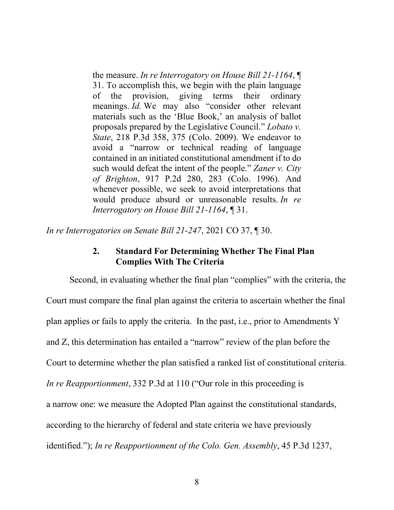the measure. *In re Interrogatory on House Bill 21-1164*, ¶ 31. To accomplish this, we begin with the plain language of the provision, giving terms their ordinary meanings. *Id.* We may also "consider other relevant materials such as the 'Blue Book,' an analysis of ballot proposals prepared by the Legislative Council." *Lobato v. State*, 218 P.3d 358, 375 (Colo. 2009). We endeavor to avoid a "narrow or technical reading of language contained in an initiated constitutional amendment if to do such would defeat the intent of the people." *Zaner v. City of Brighton*, 917 P.2d 280, 283 (Colo. 1996). And whenever possible, we seek to avoid interpretations that would produce absurd or unreasonable results. *In re Interrogatory on House Bill 21-1164*, ¶ 31.

*In re Interrogatories on Senate Bill 21-247*, 2021 CO 37, ¶ 30.

# **2. Standard For Determining Whether The Final Plan Complies With The Criteria**

Second, in evaluating whether the final plan "complies" with the criteria, the Court must compare the final plan against the criteria to ascertain whether the final plan applies or fails to apply the criteria. In the past, i.e., prior to Amendments Y and Z, this determination has entailed a "narrow" review of the plan before the Court to determine whether the plan satisfied a ranked list of constitutional criteria. *In re Reapportionment*, 332 P.3d at 110 ("Our role in this proceeding is a narrow one: we measure the Adopted Plan against the constitutional standards, according to the hierarchy of federal and state criteria we have previously identified."); *In re Reapportionment of the Colo. Gen. Assembly*, 45 P.3d 1237,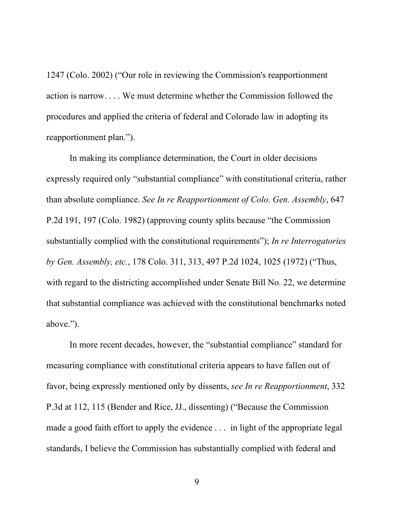1247 (Colo. 2002) ("Our role in reviewing the Commission's reapportionment action is narrow. . . . We must determine whether the Commission followed the procedures and applied the criteria of federal and Colorado law in adopting its reapportionment plan.").

In making its compliance determination, the Court in older decisions expressly required only "substantial compliance" with constitutional criteria, rather than absolute compliance. *See In re Reapportionment of Colo. Gen. Assembly*, 647 P.2d 191, 197 (Colo. 1982) (approving county splits because "the Commission substantially complied with the constitutional requirements"); *In re Interrogatories by Gen. Assembly, etc.*, 178 Colo. 311, 313, 497 P.2d 1024, 1025 (1972) ("Thus, with regard to the districting accomplished under Senate Bill No. 22, we determine that substantial compliance was achieved with the constitutional benchmarks noted above.").

In more recent decades, however, the "substantial compliance" standard for measuring compliance with constitutional criteria appears to have fallen out of favor, being expressly mentioned only by dissents, *see In re Reapportionment*, 332 P.3d at 112, 115 (Bender and Rice, JJ., dissenting) ("Because the Commission made a good faith effort to apply the evidence . . . in light of the appropriate legal standards, I believe the Commission has substantially complied with federal and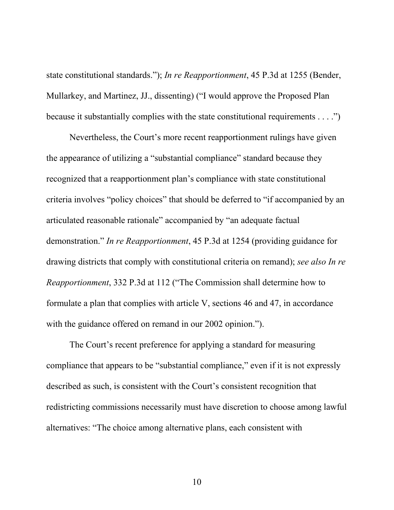state constitutional standards."); *In re Reapportionment*, 45 P.3d at 1255 (Bender, Mullarkey, and Martinez, JJ., dissenting) ("I would approve the Proposed Plan because it substantially complies with the state constitutional requirements . . . .")

Nevertheless, the Court's more recent reapportionment rulings have given the appearance of utilizing a "substantial compliance" standard because they recognized that a reapportionment plan's compliance with state constitutional criteria involves "policy choices" that should be deferred to "if accompanied by an articulated reasonable rationale" accompanied by "an adequate factual demonstration." *In re Reapportionment*, 45 P.3d at 1254 (providing guidance for drawing districts that comply with constitutional criteria on remand); *see also In re Reapportionment*, 332 P.3d at 112 ("The Commission shall determine how to formulate a plan that complies with article V, sections 46 and 47, in accordance with the guidance offered on remand in our 2002 opinion.").

The Court's recent preference for applying a standard for measuring compliance that appears to be "substantial compliance," even if it is not expressly described as such, is consistent with the Court's consistent recognition that redistricting commissions necessarily must have discretion to choose among lawful alternatives: "The choice among alternative plans, each consistent with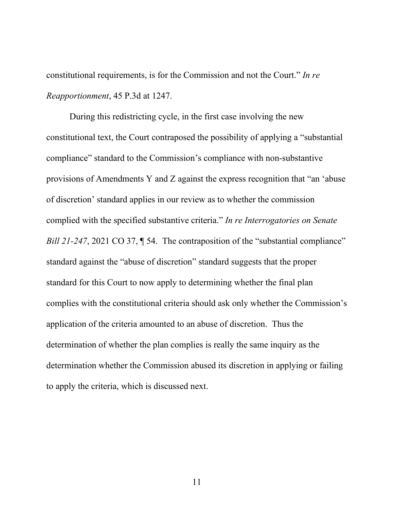constitutional requirements, is for the Commission and not the Court." *In re Reapportionment*, 45 P.3d at 1247.

During this redistricting cycle, in the first case involving the new constitutional text, the Court contraposed the possibility of applying a "substantial compliance" standard to the Commission's compliance with non-substantive provisions of Amendments Y and Z against the express recognition that "an 'abuse of discretion' standard applies in our review as to whether the commission complied with the specified substantive criteria." *In re Interrogatories on Senate Bill 21-247*, 2021 CO 37, ¶ 54. The contraposition of the "substantial compliance" standard against the "abuse of discretion" standard suggests that the proper standard for this Court to now apply to determining whether the final plan complies with the constitutional criteria should ask only whether the Commission's application of the criteria amounted to an abuse of discretion. Thus the determination of whether the plan complies is really the same inquiry as the determination whether the Commission abused its discretion in applying or failing to apply the criteria, which is discussed next.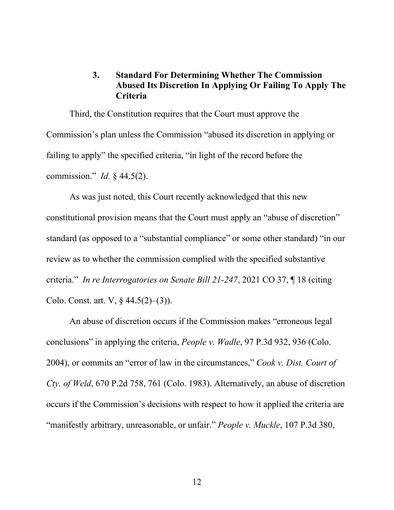# **3. Standard For Determining Whether The Commission Abused Its Discretion In Applying Or Failing To Apply The Criteria**

Third, the Constitution requires that the Court must approve the Commission's plan unless the Commission "abused its discretion in applying or failing to apply" the specified criteria, "in light of the record before the commission." *Id.* § 44.5(2).

As was just noted, this Court recently acknowledged that this new constitutional provision means that the Court must apply an "abuse of discretion" standard (as opposed to a "substantial compliance" or some other standard) "in our review as to whether the commission complied with the specified substantive criteria." *In re Interrogatories on Senate Bill 21-247*, 2021 CO 37, ¶ 18 (citing Colo. Const. art. V, § 44.5(2)–(3)).

An abuse of discretion occurs if the Commission makes "erroneous legal conclusions" in applying the criteria, *People v. Wadle*, 97 P.3d 932, 936 (Colo. 2004), or commits an "error of law in the circumstances," *Cook v. Dist. Court of Cty. of Weld*, 670 P.2d 758, 761 (Colo. 1983). Alternatively, an abuse of discretion occurs if the Commission's decisions with respect to how it applied the criteria are "manifestly arbitrary, unreasonable, or unfair." *People v. Muckle*, 107 P.3d 380,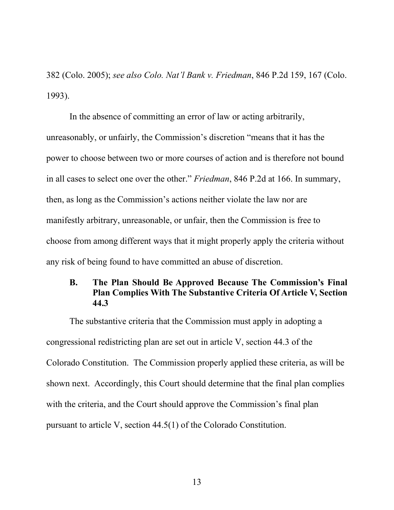382 (Colo. 2005); *see also Colo. Nat'l Bank v. Friedman*, 846 P.2d 159, 167 (Colo. 1993).

In the absence of committing an error of law or acting arbitrarily, unreasonably, or unfairly, the Commission's discretion "means that it has the power to choose between two or more courses of action and is therefore not bound in all cases to select one over the other." *Friedman*, 846 P.2d at 166. In summary, then, as long as the Commission's actions neither violate the law nor are manifestly arbitrary, unreasonable, or unfair, then the Commission is free to choose from among different ways that it might properly apply the criteria without any risk of being found to have committed an abuse of discretion.

## **B. The Plan Should Be Approved Because The Commission's Final Plan Complies With The Substantive Criteria Of Article V, Section 44.3**

The substantive criteria that the Commission must apply in adopting a congressional redistricting plan are set out in article V, section 44.3 of the Colorado Constitution. The Commission properly applied these criteria, as will be shown next. Accordingly, this Court should determine that the final plan complies with the criteria, and the Court should approve the Commission's final plan pursuant to article V, section 44.5(1) of the Colorado Constitution.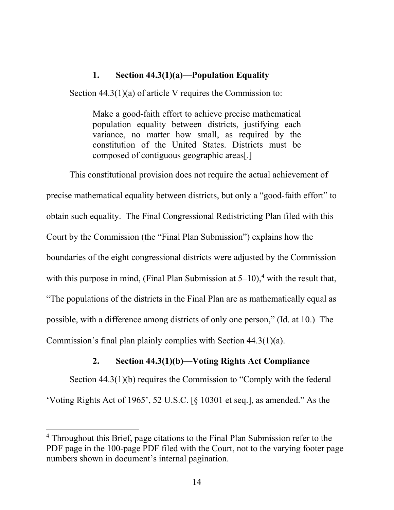## **1. Section 44.3(1)(a)—Population Equality**

Section 44.3(1)(a) of article V requires the Commission to:

Make a good-faith effort to achieve precise mathematical population equality between districts, justifying each variance, no matter how small, as required by the constitution of the United States. Districts must be composed of contiguous geographic areas[.]

This constitutional provision does not require the actual achievement of precise mathematical equality between districts, but only a "good-faith effort" to obtain such equality. The Final Congressional Redistricting Plan filed with this Court by the Commission (the "Final Plan Submission") explains how the boundaries of the eight congressional districts were adjusted by the Commission with this purpose in mind, (Final Plan Submission at  $5-10$ ),<sup>4</sup> with the result that, "The populations of the districts in the Final Plan are as mathematically equal as possible, with a difference among districts of only one person," (Id. at 10.) The Commission's final plan plainly complies with Section 44.3(1)(a).

## **2. Section 44.3(1)(b)—Voting Rights Act Compliance**

Section 44.3(1)(b) requires the Commission to "Comply with the federal 'Voting Rights Act of 1965', 52 U.S.C. [§ 10301 et seq.], as amended." As the

<sup>4</sup> Throughout this Brief, page citations to the Final Plan Submission refer to the PDF page in the 100-page PDF filed with the Court, not to the varying footer page numbers shown in document's internal pagination.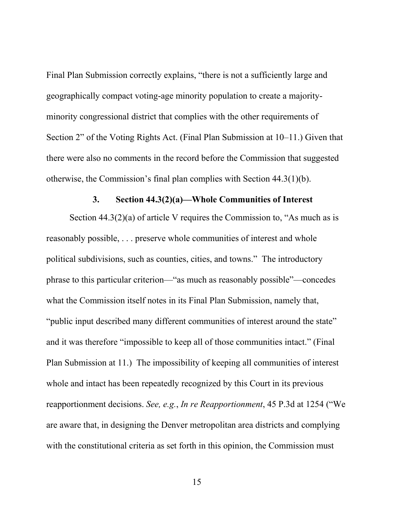Final Plan Submission correctly explains, "there is not a sufficiently large and geographically compact voting-age minority population to create a majorityminority congressional district that complies with the other requirements of Section 2" of the Voting Rights Act. (Final Plan Submission at 10–11.) Given that there were also no comments in the record before the Commission that suggested otherwise, the Commission's final plan complies with Section 44.3(1)(b).

#### **3. Section 44.3(2)(a)—Whole Communities of Interest**

Section  $44.3(2)(a)$  of article V requires the Commission to, "As much as is reasonably possible, . . . preserve whole communities of interest and whole political subdivisions, such as counties, cities, and towns." The introductory phrase to this particular criterion—"as much as reasonably possible"—concedes what the Commission itself notes in its Final Plan Submission, namely that, "public input described many different communities of interest around the state" and it was therefore "impossible to keep all of those communities intact." (Final Plan Submission at 11.) The impossibility of keeping all communities of interest whole and intact has been repeatedly recognized by this Court in its previous reapportionment decisions. *See, e.g.*, *In re Reapportionment*, 45 P.3d at 1254 ("We are aware that, in designing the Denver metropolitan area districts and complying with the constitutional criteria as set forth in this opinion, the Commission must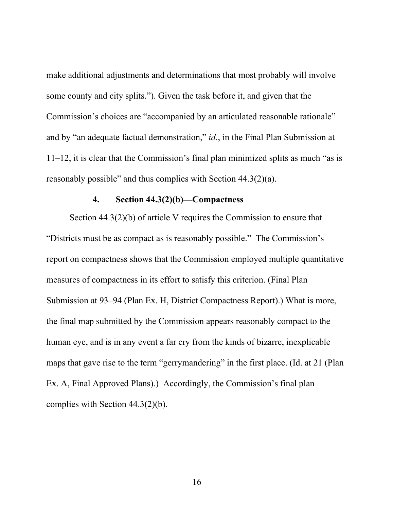make additional adjustments and determinations that most probably will involve some county and city splits."). Given the task before it, and given that the Commission's choices are "accompanied by an articulated reasonable rationale" and by "an adequate factual demonstration," *id.*, in the Final Plan Submission at 11–12, it is clear that the Commission's final plan minimized splits as much "as is reasonably possible" and thus complies with Section 44.3(2)(a).

# **4. Section 44.3(2)(b)—Compactness**

Section 44.3(2)(b) of article V requires the Commission to ensure that "Districts must be as compact as is reasonably possible." The Commission's report on compactness shows that the Commission employed multiple quantitative measures of compactness in its effort to satisfy this criterion. (Final Plan Submission at 93–94 (Plan Ex. H, District Compactness Report).) What is more, the final map submitted by the Commission appears reasonably compact to the human eye, and is in any event a far cry from the kinds of bizarre, inexplicable maps that gave rise to the term "gerrymandering" in the first place. (Id. at 21 (Plan Ex. A, Final Approved Plans).) Accordingly, the Commission's final plan complies with Section 44.3(2)(b).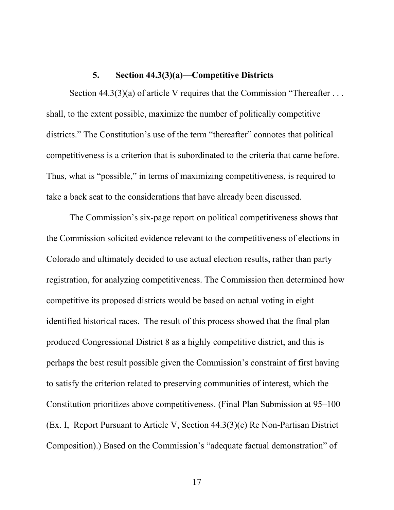#### **5. Section 44.3(3)(a)—Competitive Districts**

Section  $44.3(3)(a)$  of article V requires that the Commission "Thereafter ... shall, to the extent possible, maximize the number of politically competitive districts." The Constitution's use of the term "thereafter" connotes that political competitiveness is a criterion that is subordinated to the criteria that came before. Thus, what is "possible," in terms of maximizing competitiveness, is required to take a back seat to the considerations that have already been discussed.

The Commission's six-page report on political competitiveness shows that the Commission solicited evidence relevant to the competitiveness of elections in Colorado and ultimately decided to use actual election results, rather than party registration, for analyzing competitiveness. The Commission then determined how competitive its proposed districts would be based on actual voting in eight identified historical races. The result of this process showed that the final plan produced Congressional District 8 as a highly competitive district, and this is perhaps the best result possible given the Commission's constraint of first having to satisfy the criterion related to preserving communities of interest, which the Constitution prioritizes above competitiveness. (Final Plan Submission at 95–100 (Ex. I, Report Pursuant to Article V, Section 44.3(3)(c) Re Non-Partisan District Composition).) Based on the Commission's "adequate factual demonstration" of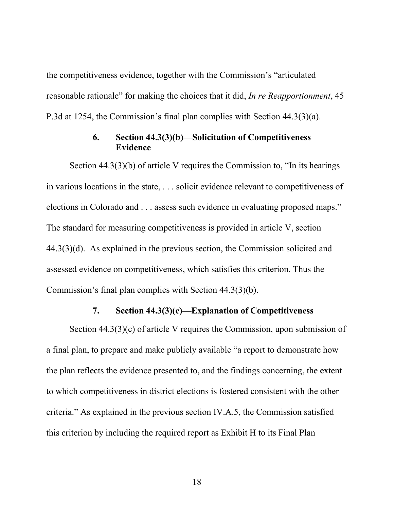the competitiveness evidence, together with the Commission's "articulated reasonable rationale" for making the choices that it did, *In re Reapportionment*, 45 P.3d at 1254, the Commission's final plan complies with Section 44.3(3)(a).

# **6. Section 44.3(3)(b)—Solicitation of Competitiveness Evidence**

Section 44.3(3)(b) of article V requires the Commission to, "In its hearings in various locations in the state, . . . solicit evidence relevant to competitiveness of elections in Colorado and . . . assess such evidence in evaluating proposed maps." The standard for measuring competitiveness is provided in article V, section 44.3(3)(d). As explained in the previous section, the Commission solicited and assessed evidence on competitiveness, which satisfies this criterion. Thus the Commission's final plan complies with Section 44.3(3)(b).

## **7. Section 44.3(3)(c)—Explanation of Competitiveness**

Section  $44.3(3)(c)$  of article V requires the Commission, upon submission of a final plan, to prepare and make publicly available "a report to demonstrate how the plan reflects the evidence presented to, and the findings concerning, the extent to which competitiveness in district elections is fostered consistent with the other criteria." As explained in the previous section IV.A.5, the Commission satisfied this criterion by including the required report as Exhibit H to its Final Plan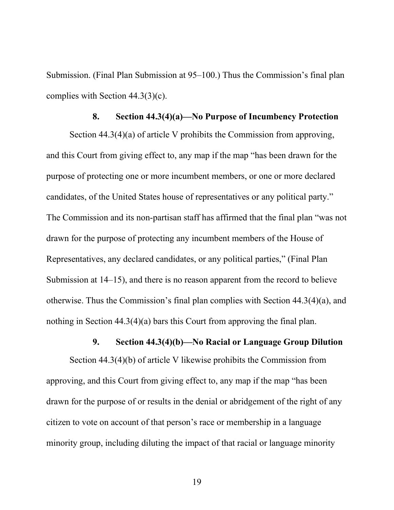Submission. (Final Plan Submission at 95–100.) Thus the Commission's final plan complies with Section 44.3(3)(c).

#### **8. Section 44.3(4)(a)—No Purpose of Incumbency Protection**

Section 44.3(4)(a) of article V prohibits the Commission from approving, and this Court from giving effect to, any map if the map "has been drawn for the purpose of protecting one or more incumbent members, or one or more declared candidates, of the United States house of representatives or any political party." The Commission and its non-partisan staff has affirmed that the final plan "was not drawn for the purpose of protecting any incumbent members of the House of Representatives, any declared candidates, or any political parties," (Final Plan Submission at 14–15), and there is no reason apparent from the record to believe otherwise. Thus the Commission's final plan complies with Section 44.3(4)(a), and nothing in Section 44.3(4)(a) bars this Court from approving the final plan.

# **9. Section 44.3(4)(b)—No Racial or Language Group Dilution**

Section 44.3(4)(b) of article V likewise prohibits the Commission from approving, and this Court from giving effect to, any map if the map "has been drawn for the purpose of or results in the denial or abridgement of the right of any citizen to vote on account of that person's race or membership in a language minority group, including diluting the impact of that racial or language minority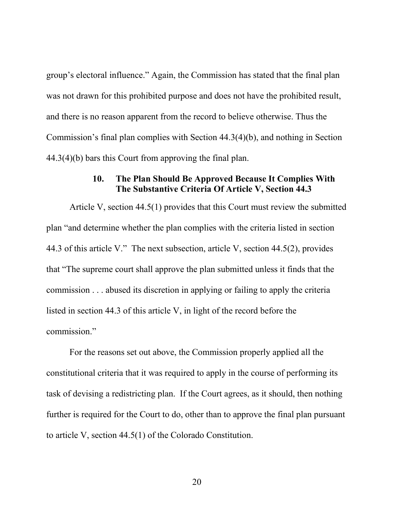group's electoral influence." Again, the Commission has stated that the final plan was not drawn for this prohibited purpose and does not have the prohibited result, and there is no reason apparent from the record to believe otherwise. Thus the Commission's final plan complies with Section 44.3(4)(b), and nothing in Section 44.3(4)(b) bars this Court from approving the final plan.

# **10. The Plan Should Be Approved Because It Complies With The Substantive Criteria Of Article V, Section 44.3**

Article V, section 44.5(1) provides that this Court must review the submitted plan "and determine whether the plan complies with the criteria listed in section 44.3 of this article V." The next subsection, article V, section 44.5(2), provides that "The supreme court shall approve the plan submitted unless it finds that the commission . . . abused its discretion in applying or failing to apply the criteria listed in section 44.3 of this article V, in light of the record before the commission."

For the reasons set out above, the Commission properly applied all the constitutional criteria that it was required to apply in the course of performing its task of devising a redistricting plan. If the Court agrees, as it should, then nothing further is required for the Court to do, other than to approve the final plan pursuant to article V, section 44.5(1) of the Colorado Constitution.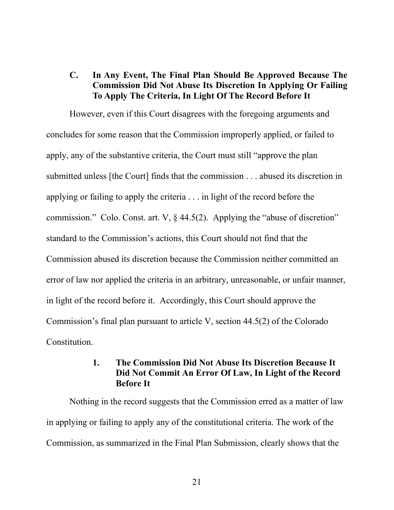# **C. In Any Event, The Final Plan Should Be Approved Because The Commission Did Not Abuse Its Discretion In Applying Or Failing To Apply The Criteria, In Light Of The Record Before It**

However, even if this Court disagrees with the foregoing arguments and concludes for some reason that the Commission improperly applied, or failed to apply, any of the substantive criteria, the Court must still "approve the plan submitted unless [the Court] finds that the commission . . . abused its discretion in applying or failing to apply the criteria . . . in light of the record before the commission." Colo. Const. art. V, § 44.5(2). Applying the "abuse of discretion" standard to the Commission's actions, this Court should not find that the Commission abused its discretion because the Commission neither committed an error of law nor applied the criteria in an arbitrary, unreasonable, or unfair manner, in light of the record before it. Accordingly, this Court should approve the Commission's final plan pursuant to article V, section 44.5(2) of the Colorado Constitution.

# **1. The Commission Did Not Abuse Its Discretion Because It Did Not Commit An Error Of Law, In Light of the Record Before It**

Nothing in the record suggests that the Commission erred as a matter of law in applying or failing to apply any of the constitutional criteria. The work of the Commission, as summarized in the Final Plan Submission, clearly shows that the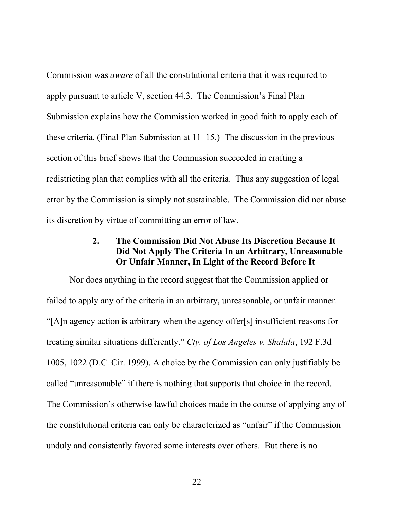Commission was *aware* of all the constitutional criteria that it was required to apply pursuant to article V, section 44.3. The Commission's Final Plan Submission explains how the Commission worked in good faith to apply each of these criteria. (Final Plan Submission at 11–15.) The discussion in the previous section of this brief shows that the Commission succeeded in crafting a redistricting plan that complies with all the criteria. Thus any suggestion of legal error by the Commission is simply not sustainable. The Commission did not abuse its discretion by virtue of committing an error of law.

# **2. The Commission Did Not Abuse Its Discretion Because It Did Not Apply The Criteria In an Arbitrary, Unreasonable Or Unfair Manner, In Light of the Record Before It**

Nor does anything in the record suggest that the Commission applied or failed to apply any of the criteria in an arbitrary, unreasonable, or unfair manner. "[A]n agency action **is** arbitrary when the agency offer[s] insufficient reasons for treating similar situations differently." *Cty. of Los Angeles v. Shalala*, 192 F.3d 1005, 1022 (D.C. Cir. 1999). A choice by the Commission can only justifiably be called "unreasonable" if there is nothing that supports that choice in the record. The Commission's otherwise lawful choices made in the course of applying any of the constitutional criteria can only be characterized as "unfair" if the Commission unduly and consistently favored some interests over others. But there is no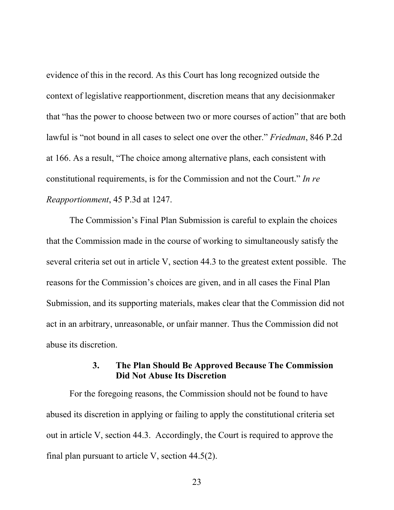evidence of this in the record. As this Court has long recognized outside the context of legislative reapportionment, discretion means that any decisionmaker that "has the power to choose between two or more courses of action" that are both lawful is "not bound in all cases to select one over the other." *Friedman*, 846 P.2d at 166. As a result, "The choice among alternative plans, each consistent with constitutional requirements, is for the Commission and not the Court." *In re Reapportionment*, 45 P.3d at 1247.

The Commission's Final Plan Submission is careful to explain the choices that the Commission made in the course of working to simultaneously satisfy the several criteria set out in article V, section 44.3 to the greatest extent possible. The reasons for the Commission's choices are given, and in all cases the Final Plan Submission, and its supporting materials, makes clear that the Commission did not act in an arbitrary, unreasonable, or unfair manner. Thus the Commission did not abuse its discretion.

## **3. The Plan Should Be Approved Because The Commission Did Not Abuse Its Discretion**

For the foregoing reasons, the Commission should not be found to have abused its discretion in applying or failing to apply the constitutional criteria set out in article V, section 44.3. Accordingly, the Court is required to approve the final plan pursuant to article V, section  $44.5(2)$ .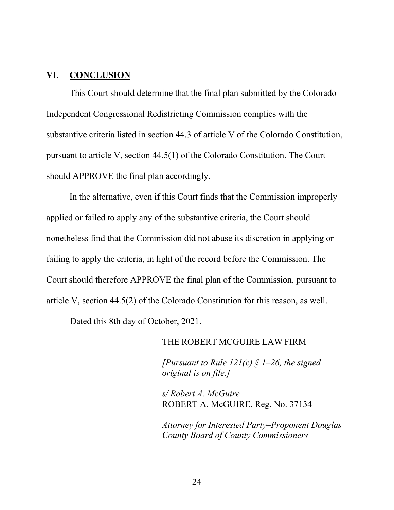#### **VI. CONCLUSION**

This Court should determine that the final plan submitted by the Colorado Independent Congressional Redistricting Commission complies with the substantive criteria listed in section 44.3 of article V of the Colorado Constitution, pursuant to article V, section 44.5(1) of the Colorado Constitution. The Court should APPROVE the final plan accordingly.

In the alternative, even if this Court finds that the Commission improperly applied or failed to apply any of the substantive criteria, the Court should nonetheless find that the Commission did not abuse its discretion in applying or failing to apply the criteria, in light of the record before the Commission. The Court should therefore APPROVE the final plan of the Commission, pursuant to article V, section 44.5(2) of the Colorado Constitution for this reason, as well.

Dated this 8th day of October, 2021.

#### THE ROBERT MCGUIRE LAW FIRM

*[Pursuant to Rule 121(c) § 1–26, the signed original is on file.]*

*s/ Robert A. McGuire* ROBERT A. McGUIRE, Reg. No. 37134

*Attorney for Interested Party–Proponent Douglas County Board of County Commissioners*